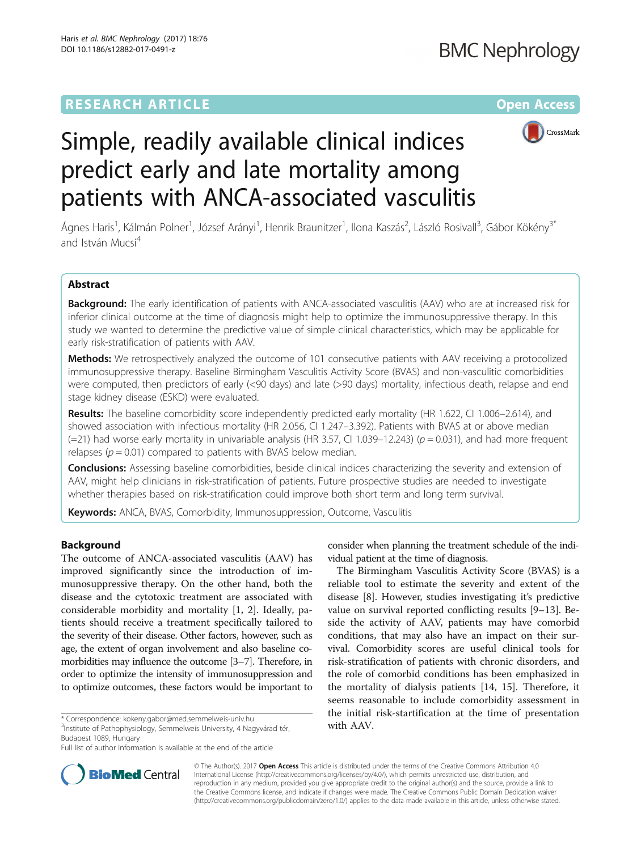# **RESEARCH ARTICLE External Structure Community Community Community Community Community Community Community Community**



Simple, readily available clinical indices predict early and late mortality among patients with ANCA-associated vasculitis

Ágnes Haris<sup>1</sup>, Kálmán Polner<sup>1</sup>, József Arányi<sup>1</sup>, Henrik Braunitzer<sup>1</sup>, Ilona Kaszás<sup>2</sup>, László Rosivall<sup>3</sup>, Gábor Kökény<sup>3\*</sup> and István Mucsi<sup>4</sup>

### Abstract

Background: The early identification of patients with ANCA-associated vasculitis (AAV) who are at increased risk for inferior clinical outcome at the time of diagnosis might help to optimize the immunosuppressive therapy. In this study we wanted to determine the predictive value of simple clinical characteristics, which may be applicable for early risk-stratification of patients with AAV.

**Methods:** We retrospectively analyzed the outcome of 101 consecutive patients with AAV receiving a protocolized immunosuppressive therapy. Baseline Birmingham Vasculitis Activity Score (BVAS) and non-vasculitic comorbidities were computed, then predictors of early (<90 days) and late (>90 days) mortality, infectious death, relapse and end stage kidney disease (ESKD) were evaluated.

Results: The baseline comorbidity score independently predicted early mortality (HR 1.622, CI 1.006–2.614), and showed association with infectious mortality (HR 2.056, CI 1.247–3.392). Patients with BVAS at or above median (=21) had worse early mortality in univariable analysis (HR 3.57, CI 1.039–12.243) ( $p = 0.031$ ), and had more frequent relapses ( $p = 0.01$ ) compared to patients with BVAS below median.

Conclusions: Assessing baseline comorbidities, beside clinical indices characterizing the severity and extension of AAV, might help clinicians in risk-stratification of patients. Future prospective studies are needed to investigate whether therapies based on risk-stratification could improve both short term and long term survival.

**Keywords:** ANCA, BVAS, Comorbidity, Immunosuppression, Outcome, Vasculitis

### Background

The outcome of ANCA-associated vasculitis (AAV) has improved significantly since the introduction of immunosuppressive therapy. On the other hand, both the disease and the cytotoxic treatment are associated with considerable morbidity and mortality [\[1, 2](#page-6-0)]. Ideally, patients should receive a treatment specifically tailored to the severity of their disease. Other factors, however, such as age, the extent of organ involvement and also baseline comorbidities may influence the outcome [[3](#page-6-0)–[7\]](#page-6-0). Therefore, in order to optimize the intensity of immunosuppression and to optimize outcomes, these factors would be important to

with AAV. \* Correspondence: [kokeny.gabor@med.semmelweis-univ.hu](mailto:kokeny.gabor@med.semmelweis-univ.hu) <sup>3</sup> Institute of Pathophysiology, Semmelweis University, 4 Nagyvárad tér, Budapest 1089, Hungary

consider when planning the treatment schedule of the individual patient at the time of diagnosis.

The Birmingham Vasculitis Activity Score (BVAS) is a reliable tool to estimate the severity and extent of the disease [\[8](#page-6-0)]. However, studies investigating it's predictive value on survival reported conflicting results [[9](#page-6-0)–[13](#page-6-0)]. Beside the activity of AAV, patients may have comorbid conditions, that may also have an impact on their survival. Comorbidity scores are useful clinical tools for risk-stratification of patients with chronic disorders, and the role of comorbid conditions has been emphasized in the mortality of dialysis patients [[14, 15](#page-6-0)]. Therefore, it seems reasonable to include comorbidity assessment in the initial risk-startification at the time of presentation



© The Author(s). 2017 **Open Access** This article is distributed under the terms of the Creative Commons Attribution 4.0 International License [\(http://creativecommons.org/licenses/by/4.0/](http://creativecommons.org/licenses/by/4.0/)), which permits unrestricted use, distribution, and reproduction in any medium, provided you give appropriate credit to the original author(s) and the source, provide a link to the Creative Commons license, and indicate if changes were made. The Creative Commons Public Domain Dedication waiver [\(http://creativecommons.org/publicdomain/zero/1.0/](http://creativecommons.org/publicdomain/zero/1.0/)) applies to the data made available in this article, unless otherwise stated.

Full list of author information is available at the end of the article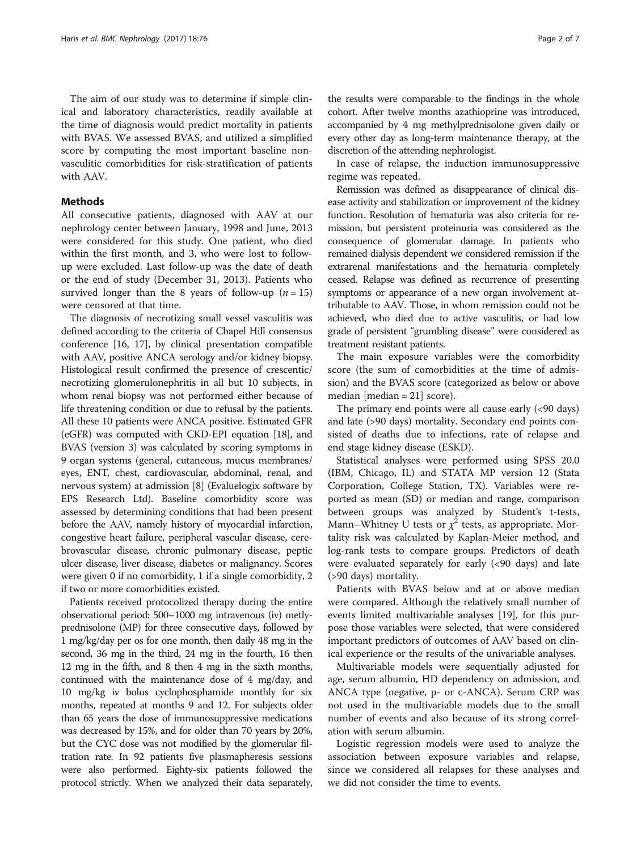The aim of our study was to determine if simple clinical and laboratory characteristics, readily available at the time of diagnosis would predict mortality in patients with BVAS. We assessed BVAS, and utilized a simplified score by computing the most important baseline nonvasculitic comorbidities for risk-stratification of patients with AAV.

### **Methods**

All consecutive patients, diagnosed with AAV at our nephrology center between January, 1998 and June, 2013 were considered for this study. One patient, who died within the first month, and 3, who were lost to followup were excluded. Last follow-up was the date of death or the end of study (December 31, 2013). Patients who survived longer than the 8 years of follow-up ( $n = 15$ ) were censored at that time.

The diagnosis of necrotizing small vessel vasculitis was defined according to the criteria of Chapel Hill consensus conference [\[16, 17](#page-6-0)], by clinical presentation compatible with AAV, positive ANCA serology and/or kidney biopsy. Histological result confirmed the presence of crescentic/ necrotizing glomerulonephritis in all but 10 subjects, in whom renal biopsy was not performed either because of life threatening condition or due to refusal by the patients. All these 10 patients were ANCA positive. Estimated GFR (eGFR) was computed with CKD-EPI equation [\[18\]](#page-6-0), and BVAS (version 3) was calculated by scoring symptoms in 9 organ systems (general, cutaneous, mucus membranes/ eyes, ENT, chest, cardiovascular, abdominal, renal, and nervous system) at admission [\[8\]](#page-6-0) (Evaluelogix software by EPS Research Ltd). Baseline comorbidity score was assessed by determining conditions that had been present before the AAV, namely history of myocardial infarction, congestive heart failure, peripheral vascular disease, cerebrovascular disease, chronic pulmonary disease, peptic ulcer disease, liver disease, diabetes or malignancy. Scores were given 0 if no comorbidity, 1 if a single comorbidity, 2 if two or more comorbidities existed.

Patients received protocolized therapy during the entire observational period: 500–1000 mg intravenous (iv) metlyprednisolone (MP) for three consecutive days, followed by 1 mg/kg/day per os for one month, then daily 48 mg in the second, 36 mg in the third, 24 mg in the fourth, 16 then 12 mg in the fifth, and 8 then 4 mg in the sixth months, continued with the maintenance dose of 4 mg/day, and 10 mg/kg iv bolus cyclophosphamide monthly for six months, repeated at months 9 and 12. For subjects older than 65 years the dose of immunosuppressive medications was decreased by 15%, and for older than 70 years by 20%, but the CYC dose was not modified by the glomerular filtration rate. In 92 patients five plasmapheresis sessions were also performed. Eighty-six patients followed the protocol strictly. When we analyzed their data separately,

the results were comparable to the findings in the whole cohort. After twelve months azathioprine was introduced, accompanied by 4 mg methylprednisolone given daily or every other day as long-term maintenance therapy, at the discretion of the attending nephrologist.

In case of relapse, the induction immunosuppressive regime was repeated.

Remission was defined as disappearance of clinical disease activity and stabilization or improvement of the kidney function. Resolution of hematuria was also criteria for remission, but persistent proteinuria was considered as the consequence of glomerular damage. In patients who remained dialysis dependent we considered remission if the extrarenal manifestations and the hematuria completely ceased. Relapse was defined as recurrence of presenting symptoms or appearance of a new organ involvement attributable to AAV. Those, in whom remission could not be achieved, who died due to active vasculitis, or had low grade of persistent "grumbling disease" were considered as treatment resistant patients.

The main exposure variables were the comorbidity score (the sum of comorbidities at the time of admission) and the BVAS score (categorized as below or above median  $[median = 21]$  score).

The primary end points were all cause early (<90 days) and late (>90 days) mortality. Secondary end points consisted of deaths due to infections, rate of relapse and end stage kidney disease (ESKD).

Statistical analyses were performed using SPSS 20.0 (IBM, Chicago, IL) and STATA MP version 12 (Stata Corporation, College Station, TX). Variables were reported as mean (SD) or median and range, comparison between groups was analyzed by Student's t-tests, Mann–Whitney U tests or  $\chi^2$  tests, as appropriate. Mortality risk was calculated by Kaplan-Meier method, and log-rank tests to compare groups. Predictors of death were evaluated separately for early (<90 days) and late (>90 days) mortality.

Patients with BVAS below and at or above median were compared. Although the relatively small number of events limited multivariable analyses [\[19](#page-6-0)], for this purpose those variables were selected, that were considered important predictors of outcomes of AAV based on clinical experience or the results of the univariable analyses.

Multivariable models were sequentially adjusted for age, serum albumin, HD dependency on admission, and ANCA type (negative, p- or c-ANCA). Serum CRP was not used in the multivariable models due to the small number of events and also because of its strong correlation with serum albumin.

Logistic regression models were used to analyze the association between exposure variables and relapse, since we considered all relapses for these analyses and we did not consider the time to events.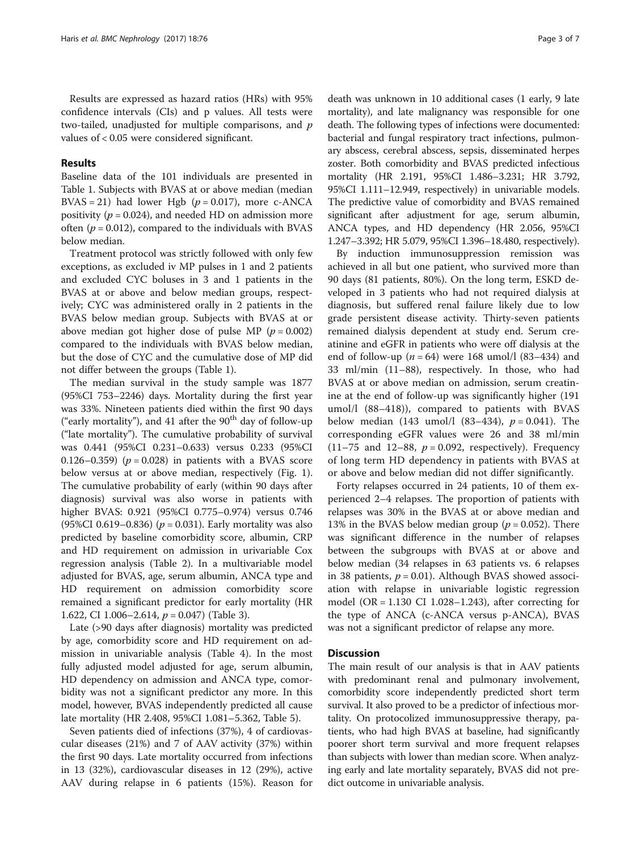Results are expressed as hazard ratios (HRs) with 95% confidence intervals (CIs) and p values. All tests were two-tailed, unadjusted for multiple comparisons, and  $p$ values of < 0.05 were considered significant.

### Results

Baseline data of the 101 individuals are presented in Table [1.](#page-3-0) Subjects with BVAS at or above median (median BVAS = 21) had lower Hgb ( $p = 0.017$ ), more c-ANCA positivity ( $p = 0.024$ ), and needed HD on admission more often ( $p = 0.012$ ), compared to the individuals with BVAS below median.

Treatment protocol was strictly followed with only few exceptions, as excluded iv MP pulses in 1 and 2 patients and excluded CYC boluses in 3 and 1 patients in the BVAS at or above and below median groups, respectively; CYC was administered orally in 2 patients in the BVAS below median group. Subjects with BVAS at or above median got higher dose of pulse MP ( $p = 0.002$ ) compared to the individuals with BVAS below median, but the dose of CYC and the cumulative dose of MP did not differ between the groups (Table [1](#page-3-0)).

The median survival in the study sample was 1877 (95%CI 753–2246) days. Mortality during the first year was 33%. Nineteen patients died within the first 90 days ("early mortality"), and 41 after the  $90<sup>th</sup>$  day of follow-up ("late mortality"). The cumulative probability of survival was 0.441 (95%CI 0.231–0.633) versus 0.233 (95%CI 0.126–0.359) ( $p = 0.028$ ) in patients with a BVAS score below versus at or above median, respectively (Fig. [1](#page-4-0)). The cumulative probability of early (within 90 days after diagnosis) survival was also worse in patients with higher BVAS: 0.921 (95%CI 0.775–0.974) versus 0.746 (95%CI 0.619–0.836) ( $p = 0.031$ ). Early mortality was also predicted by baseline comorbidity score, albumin, CRP and HD requirement on admission in urivariable Cox regression analysis (Table [2](#page-4-0)). In a multivariable model adjusted for BVAS, age, serum albumin, ANCA type and HD requirement on admission comorbidity score remained a significant predictor for early mortality (HR 1.622, CI 1.006-2.614,  $p = 0.047$  (Table [3\)](#page-4-0).

Late (>90 days after diagnosis) mortality was predicted by age, comorbidity score and HD requirement on admission in univariable analysis (Table [4](#page-4-0)). In the most fully adjusted model adjusted for age, serum albumin, HD dependency on admission and ANCA type, comorbidity was not a significant predictor any more. In this model, however, BVAS independently predicted all cause late mortality (HR 2.408, 95%CI 1.081–5.362, Table [5](#page-5-0)).

Seven patients died of infections (37%), 4 of cardiovascular diseases (21%) and 7 of AAV activity (37%) within the first 90 days. Late mortality occurred from infections in 13 (32%), cardiovascular diseases in 12 (29%), active AAV during relapse in 6 patients (15%). Reason for death was unknown in 10 additional cases (1 early, 9 late mortality), and late malignancy was responsible for one death. The following types of infections were documented: bacterial and fungal respiratory tract infections, pulmonary abscess, cerebral abscess, sepsis, disseminated herpes zoster. Both comorbidity and BVAS predicted infectious mortality (HR 2.191, 95%CI 1.486–3.231; HR 3.792, 95%CI 1.111–12.949, respectively) in univariable models. The predictive value of comorbidity and BVAS remained significant after adjustment for age, serum albumin, ANCA types, and HD dependency (HR 2.056, 95%CI 1.247–3.392; HR 5.079, 95%CI 1.396–18.480, respectively).

By induction immunosuppression remission was achieved in all but one patient, who survived more than 90 days (81 patients, 80%). On the long term, ESKD developed in 3 patients who had not required dialysis at diagnosis, but suffered renal failure likely due to low grade persistent disease activity. Thirty-seven patients remained dialysis dependent at study end. Serum creatinine and eGFR in patients who were off dialysis at the end of follow-up ( $n = 64$ ) were 168 umol/l (83–434) and 33 ml/min (11–88), respectively. In those, who had BVAS at or above median on admission, serum creatinine at the end of follow-up was significantly higher (191 umol/l (88–418)), compared to patients with BVAS below median (143 umol/l (83–434),  $p = 0.041$ ). The corresponding eGFR values were 26 and 38 ml/min (11–75 and 12–88,  $p = 0.092$ , respectively). Frequency of long term HD dependency in patients with BVAS at or above and below median did not differ significantly.

Forty relapses occurred in 24 patients, 10 of them experienced 2–4 relapses. The proportion of patients with relapses was 30% in the BVAS at or above median and 13% in the BVAS below median group ( $p = 0.052$ ). There was significant difference in the number of relapses between the subgroups with BVAS at or above and below median (34 relapses in 63 patients vs. 6 relapses in 38 patients,  $p = 0.01$ ). Although BVAS showed association with relapse in univariable logistic regression model (OR = 1.130 CI 1.028–1.243), after correcting for the type of ANCA (c-ANCA versus p-ANCA), BVAS was not a significant predictor of relapse any more.

### **Discussion**

The main result of our analysis is that in AAV patients with predominant renal and pulmonary involvement, comorbidity score independently predicted short term survival. It also proved to be a predictor of infectious mortality. On protocolized immunosuppressive therapy, patients, who had high BVAS at baseline, had significantly poorer short term survival and more frequent relapses than subjects with lower than median score. When analyzing early and late mortality separately, BVAS did not predict outcome in univariable analysis.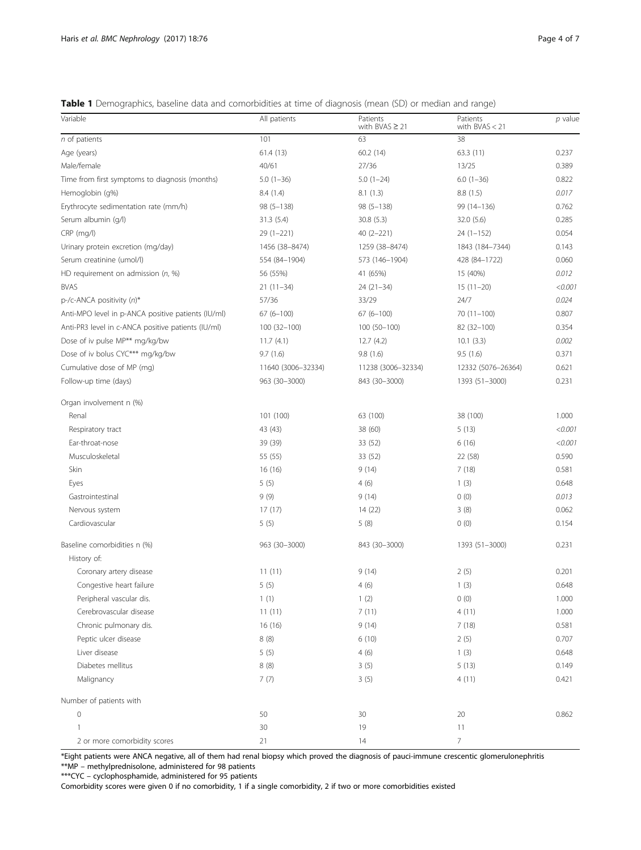<span id="page-3-0"></span>Table 1 Demographics, baseline data and comorbidities at time of diagnosis (mean (SD) or median and range)

| Variable                                           | All patients       | Patients<br>with BVAS $\geq$ 21 | Patients<br>with $BVAS < 21$ | $p$ value |
|----------------------------------------------------|--------------------|---------------------------------|------------------------------|-----------|
| n of patients                                      | 101                | 63                              | 38                           |           |
| Age (years)                                        | 61.4 (13)          | 60.2(14)                        | 63.3(11)                     | 0.237     |
| Male/female                                        | 40/61              | 27/36                           | 13/25                        | 0.389     |
| Time from first symptoms to diagnosis (months)     | $5.0(1-36)$        | $5.0(1-24)$                     | $6.0(1-36)$                  | 0.822     |
| Hemoglobin (g%)                                    | 8.4 (1.4)          | 8.1(1.3)                        | 8.8 (1.5)                    | 0.017     |
| Erythrocyte sedimentation rate (mm/h)              | $98(5 - 138)$      | $98(5 - 138)$                   | 99 (14-136)                  | 0.762     |
| Serum albumin (g/l)                                | 31.3(5.4)          | 30.8(5.3)                       | 32.0(5.6)                    | 0.285     |
| CRP (mg/l)                                         | $29(1-221)$        | $40(2-221)$                     | $24(1-152)$                  | 0.054     |
| Urinary protein excretion (mg/day)                 | 1456 (38-8474)     | 1259 (38-8474)                  | 1843 (184-7344)              | 0.143     |
| Serum creatinine (umol/l)                          | 554 (84-1904)      | 573 (146-1904)                  | 428 (84-1722)                | 0.060     |
| HD requirement on admission $(n, %)$               | 56 (55%)           | 41 (65%)                        | 15 (40%)                     | 0.012     |
| <b>BVAS</b>                                        | $21(11-34)$        | $24(21-34)$                     | $15(11-20)$                  | < 0.001   |
| $p$ -/c-ANCA positivity $(n)^*$                    | 57/36              | 33/29                           | 24/7                         | 0.024     |
| Anti-MPO level in p-ANCA positive patients (IU/ml) | $67(6 - 100)$      | $67(6-100)$                     | $70(11-100)$                 | 0.807     |
| Anti-PR3 level in c-ANCA positive patients (IU/ml) | 100 (32-100)       | $100(50-100)$                   | 82 (32-100)                  | 0.354     |
| Dose of iv pulse MP** mg/kg/bw                     | 11.7(4.1)          | 12.7(4.2)                       | 10.1(3.3)                    | 0.002     |
| Dose of iv bolus CYC*** mg/kg/bw                   | 9.7(1.6)           | 9.8(1.6)                        | 9.5(1.6)                     | 0.371     |
| Cumulative dose of MP (mg)                         | 11640 (3006-32334) | 11238 (3006-32334)              | 12332 (5076-26364)           | 0.621     |
| Follow-up time (days)                              | 963 (30-3000)      | 843 (30-3000)                   | 1393 (51-3000)               | 0.231     |
| Organ involvement n (%)                            |                    |                                 |                              |           |
| Renal                                              | 101 (100)          | 63 (100)                        | 38 (100)                     | 1.000     |
| Respiratory tract                                  | 43 (43)            | 38 (60)                         | 5(13)                        | < 0.001   |
| Ear-throat-nose                                    | 39 (39)            | 33 (52)                         | 6(16)                        | < 0.001   |
| Musculoskeletal                                    | 55 (55)            | 33 (52)                         | 22 (58)                      | 0.590     |
| Skin                                               | 16(16)             | 9(14)                           | 7(18)                        | 0.581     |
| Eyes                                               | 5(5)               | 4(6)                            | 1(3)                         | 0.648     |
| Gastrointestinal                                   | 9(9)               | 9(14)                           | 0(0)                         | 0.013     |
| Nervous system                                     | 17(17)             | 14 (22)                         | 3(8)                         | 0.062     |
| Cardiovascular                                     | 5(5)               | 5(8)                            | 0(0)                         | 0.154     |
| Baseline comorbidities n (%)                       | 963 (30-3000)      | 843 (30-3000)                   | 1393 (51-3000)               | 0.231     |
| History of:                                        |                    |                                 |                              |           |
| Coronary artery disease                            | 11(11)             | 9(14)                           | 2(5)                         | 0.201     |
| Congestive heart failure                           | 5(5)               | 4(6)                            | 1(3)                         | 0.648     |
| Peripheral vascular dis.                           | 1(1)               | 1(2)                            | 0(0)                         | 1.000     |
| Cerebrovascular disease                            | 11(11)             | 7(11)                           | 4(11)                        | 1.000     |
| Chronic pulmonary dis.                             | 16 (16)            | 9(14)                           | 7(18)                        | 0.581     |
| Peptic ulcer disease                               | 8(8)               | 6(10)                           | 2(5)                         | 0.707     |
| Liver disease                                      | 5(5)               | 4(6)                            | 1(3)                         | 0.648     |
| Diabetes mellitus                                  | 8(8)               | 3(5)                            | 5(13)                        | 0.149     |
| Malignancy                                         | 7(7)               | 3(5)                            | 4(11)                        | 0.421     |
| Number of patients with                            |                    |                                 |                              |           |
| $\mathsf{O}\xspace$                                | 50                 | 30                              | 20                           | 0.862     |
| $\mathbf{1}$                                       | 30                 | 19                              | 11                           |           |
| 2 or more comorbidity scores                       | 21                 | 14                              | $\overline{7}$               |           |

\*Eight patients were ANCA negative, all of them had renal biopsy which proved the diagnosis of pauci-immune crescentic glomerulonephritis

\*\*MP – methylprednisolone, administered for 98 patients \*\*\*CYC – cyclophosphamide, administered for 95 patients

Comorbidity scores were given 0 if no comorbidity, 1 if a single comorbidity, 2 if two or more comorbidities existed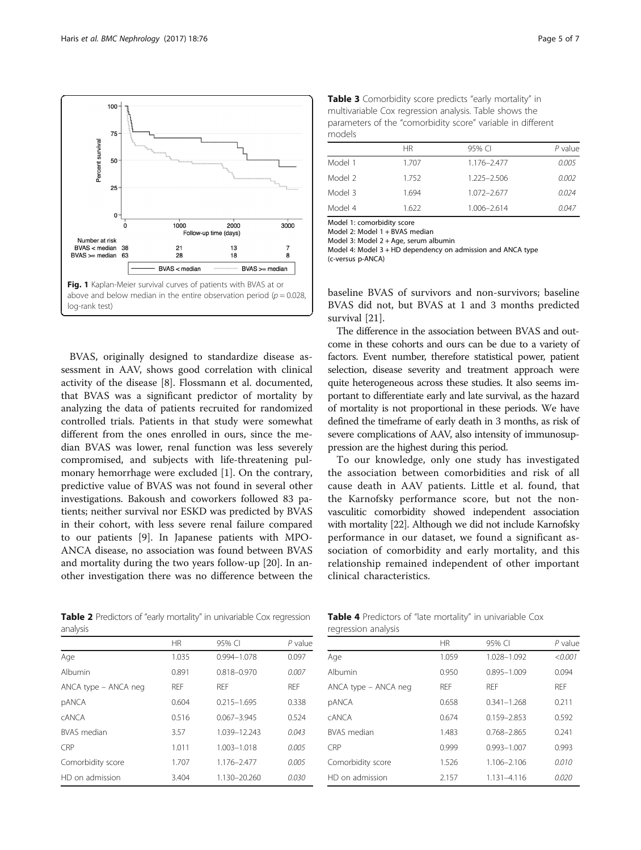<span id="page-4-0"></span>

BVAS, originally designed to standardize disease assessment in AAV, shows good correlation with clinical activity of the disease [[8\]](#page-6-0). Flossmann et al. documented, that BVAS was a significant predictor of mortality by analyzing the data of patients recruited for randomized controlled trials. Patients in that study were somewhat different from the ones enrolled in ours, since the median BVAS was lower, renal function was less severely compromised, and subjects with life-threatening pulmonary hemorrhage were excluded [\[1](#page-6-0)]. On the contrary, predictive value of BVAS was not found in several other investigations. Bakoush and coworkers followed 83 patients; neither survival nor ESKD was predicted by BVAS in their cohort, with less severe renal failure compared to our patients [[9\]](#page-6-0). In Japanese patients with MPO-ANCA disease, no association was found between BVAS and mortality during the two years follow-up [\[20](#page-6-0)]. In another investigation there was no difference between the

**Table 2** Predictors of "early mortality" in univariable Cox regression analysis

| Table 3 Comorbidity score predicts "early mortality" in     |
|-------------------------------------------------------------|
| multivariable Cox regression analysis. Table shows the      |
| parameters of the "comorbidity score" variable in different |
| models                                                      |

|         | ΗR    | 95% CI          | P value |
|---------|-------|-----------------|---------|
| Model 1 | 1.707 | 1.176-2.477     | 0.005   |
| Model 2 | 1.752 | 1.225-2.506     | 0.002   |
| Model 3 | 1.694 | $1.072 - 2.677$ | 0.024   |
| Model 4 | 1.622 | 1.006-2.614     | 0.047   |

Model 1: comorbidity score

Model 2: Model 1 + BVAS median

Model 3: Model 2 + Age, serum albumin

Model 4: Model 3 + HD dependency on admission and ANCA type (c-versus p-ANCA)

baseline BVAS of survivors and non-survivors; baseline BVAS did not, but BVAS at 1 and 3 months predicted survival [\[21](#page-6-0)].

The difference in the association between BVAS and outcome in these cohorts and ours can be due to a variety of factors. Event number, therefore statistical power, patient selection, disease severity and treatment approach were quite heterogeneous across these studies. It also seems important to differentiate early and late survival, as the hazard of mortality is not proportional in these periods. We have defined the timeframe of early death in 3 months, as risk of severe complications of AAV, also intensity of immunosuppression are the highest during this period.

To our knowledge, only one study has investigated the association between comorbidities and risk of all cause death in AAV patients. Little et al. found, that the Karnofsky performance score, but not the nonvasculitic comorbidity showed independent association with mortality [\[22](#page-6-0)]. Although we did not include Karnofsky performance in our dataset, we found a significant association of comorbidity and early mortality, and this relationship remained independent of other important clinical characteristics.

| analysis             |            |                 |            |  |
|----------------------|------------|-----------------|------------|--|
|                      | <b>HR</b>  | 95% CI          | $P$ value  |  |
| Age                  | 1.035      | 0.994-1.078     | 0.097      |  |
| Albumin              | 0.891      | $0.818 - 0.970$ | 0.007      |  |
| ANCA type – ANCA neg | <b>RFF</b> | <b>RFF</b>      | <b>RFF</b> |  |
| pANCA                | 0.604      | $0.215 - 1.695$ | 0.338      |  |
| <b>CANCA</b>         | 0.516      | $0.067 - 3.945$ | 0.524      |  |
| <b>BVAS</b> median   | 3.57       | 1.039-12.243    | 0.043      |  |
| CRP                  | 1.011      | 1.003-1.018     | 0.005      |  |
| Comorbidity score    | 1.707      | 1.176-2.477     | 0.005      |  |
| HD on admission      | 3.404      | 1.130-20.260    | 0.030      |  |

| Table 4 Predictors of "late mortality" in univariable Cox |  |
|-----------------------------------------------------------|--|
| regression analysis                                       |  |

| <b>ICUICSSIUI LAFIATVOIS</b> |            |                 |            |
|------------------------------|------------|-----------------|------------|
|                              | <b>HR</b>  | 95% CI          | $P$ value  |
| Age                          | 1.059      | 1.028-1.092     | < 0.001    |
| Albumin                      | 0.950      | $0.895 - 1.009$ | 0.094      |
| ANCA type - ANCA neg         | <b>RFF</b> | <b>RFF</b>      | <b>RFF</b> |
| <b>pANCA</b>                 | 0.658      | $0.341 - 1.268$ | 0.211      |
| CANCA                        | 0.674      | $0.159 - 2.853$ | 0.592      |
| <b>BVAS</b> median           | 1.483      | 0.768-2.865     | 0.241      |
| <b>CRP</b>                   | 0.999      | $0.993 - 1.007$ | 0.993      |
| Comorbidity score            | 1.526      | 1.106-2.106     | 0.010      |
| HD on admission              | 2.157      | 1.131-4.116     | 0.020      |
|                              |            |                 |            |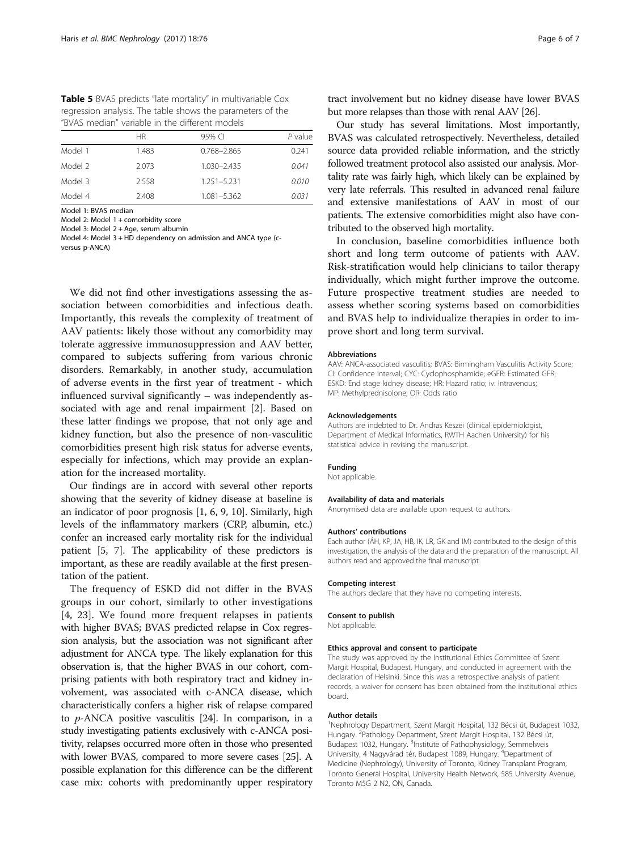<span id="page-5-0"></span>Table 5 BVAS predicts "late mortality" in multivariable Cox regression analysis. The table shows the parameters of the "BVAS median" variable in the different models

|         | <b>HR</b> | 95% CI      | P value |
|---------|-----------|-------------|---------|
| Model 1 | 1.483     | 0.768-2.865 | 0.241   |
| Model 2 | 2.073     | 1.030-2.435 | 0.041   |
| Model 3 | 2.558     | 1.251-5.231 | 0.010   |
| Model 4 | 2.408     | 1.081-5.362 | 0.031   |

Model 1: BVAS median

Model 2: Model 1 + comorbidity score

Model 3: Model 2 + Age, serum albumin Model 4: Model 3 + HD dependency on admission and ANCA type (c-

versus p-ANCA)

We did not find other investigations assessing the association between comorbidities and infectious death. Importantly, this reveals the complexity of treatment of AAV patients: likely those without any comorbidity may tolerate aggressive immunosuppression and AAV better, compared to subjects suffering from various chronic disorders. Remarkably, in another study, accumulation of adverse events in the first year of treatment - which influenced survival significantly – was independently associated with age and renal impairment [\[2](#page-6-0)]. Based on these latter findings we propose, that not only age and kidney function, but also the presence of non-vasculitic comorbidities present high risk status for adverse events, especially for infections, which may provide an explanation for the increased mortality.

Our findings are in accord with several other reports showing that the severity of kidney disease at baseline is an indicator of poor prognosis [\[1](#page-6-0), [6](#page-6-0), [9, 10\]](#page-6-0). Similarly, high levels of the inflammatory markers (CRP, albumin, etc.) confer an increased early mortality risk for the individual patient [\[5](#page-6-0), [7](#page-6-0)]. The applicability of these predictors is important, as these are readily available at the first presentation of the patient.

The frequency of ESKD did not differ in the BVAS groups in our cohort, similarly to other investigations [[4, 23\]](#page-6-0). We found more frequent relapses in patients with higher BVAS; BVAS predicted relapse in Cox regression analysis, but the association was not significant after adjustment for ANCA type. The likely explanation for this observation is, that the higher BVAS in our cohort, comprising patients with both respiratory tract and kidney involvement, was associated with c-ANCA disease, which characteristically confers a higher risk of relapse compared to p-ANCA positive vasculitis [\[24\]](#page-6-0). In comparison, in a study investigating patients exclusively with c-ANCA positivity, relapses occurred more often in those who presented with lower BVAS, compared to more severe cases [\[25\]](#page-6-0). A possible explanation for this difference can be the different case mix: cohorts with predominantly upper respiratory

tract involvement but no kidney disease have lower BVAS but more relapses than those with renal AAV [[26](#page-6-0)].

Our study has several limitations. Most importantly, BVAS was calculated retrospectively. Nevertheless, detailed source data provided reliable information, and the strictly followed treatment protocol also assisted our analysis. Mortality rate was fairly high, which likely can be explained by very late referrals. This resulted in advanced renal failure and extensive manifestations of AAV in most of our patients. The extensive comorbidities might also have contributed to the observed high mortality.

In conclusion, baseline comorbidities influence both short and long term outcome of patients with AAV. Risk-stratification would help clinicians to tailor therapy individually, which might further improve the outcome. Future prospective treatment studies are needed to assess whether scoring systems based on comorbidities and BVAS help to individualize therapies in order to improve short and long term survival.

#### Abbreviations

AAV: ANCA-associated vasculitis; BVAS: Birmingham Vasculitis Activity Score; CI: Confidence interval; CYC: Cyclophosphamide; eGFR: Estimated GFR; ESKD: End stage kidney disease; HR: Hazard ratio; iv: Intravenous; MP: Methylprednisolone; OR: Odds ratio

#### Acknowledgements

Authors are indebted to Dr. Andras Keszei (clinical epidemiologist, Department of Medical Informatics, RWTH Aachen University) for his statistical advice in revising the manuscript.

#### Funding

Not applicable.

#### Availability of data and materials

Anonymised data are available upon request to authors.

#### Authors' contributions

Each author (ÁH, KP, JA, HB, IK, LR, GK and IM) contributed to the design of this investigation, the analysis of the data and the preparation of the manuscript. All authors read and approved the final manuscript.

#### Competing interest

The authors declare that they have no competing interests.

#### Consent to publish

Not applicable.

#### Ethics approval and consent to participate

The study was approved by the Institutional Ethics Committee of Szent Margit Hospital, Budapest, Hungary, and conducted in agreement with the declaration of Helsinki. Since this was a retrospective analysis of patient records, a waiver for consent has been obtained from the institutional ethics board.

#### Author details

<sup>1</sup>Nephrology Department, Szent Margit Hospital, 132 Bécsi út, Budapest 1032, Hungary. <sup>2</sup>Pathology Department, Szent Margit Hospital, 132 Bécsi út Budapest 1032, Hungary. <sup>3</sup>Institute of Pathophysiology, Semmelweis University, 4 Nagyvárad tér, Budapest 1089, Hungary. <sup>4</sup>Department of Medicine (Nephrology), University of Toronto, Kidney Transplant Program, Toronto General Hospital, University Health Network, 585 University Avenue, Toronto M5G 2 N2, ON, Canada.